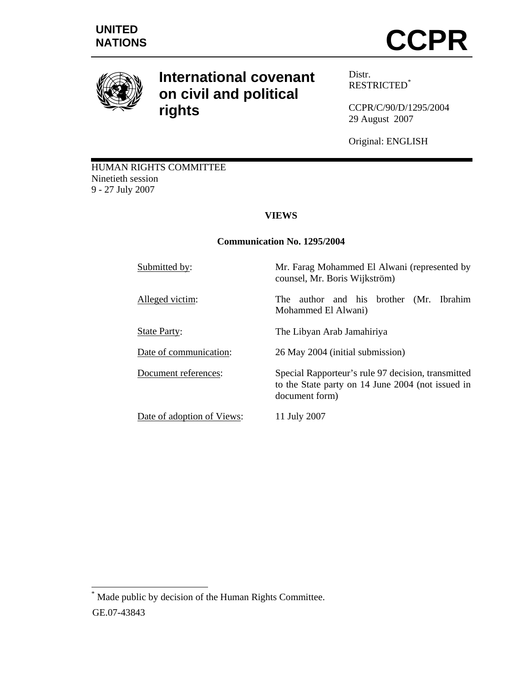

# **International covenant on civil and political rights**

Distr. RESTRICTED\*

CCPR/C/90/D/1295/2004 29 August 2007

Original: ENGLISH

HUMAN RIGHTS COMMITTEE Ninetieth session 9 - 27 July 2007

# **VIEWS**

# **Communication No. 1295/2004**

| Submitted by:              | Mr. Farag Mohammed El Alwani (represented by<br>counsel, Mr. Boris Wijkström)                                             |
|----------------------------|---------------------------------------------------------------------------------------------------------------------------|
| Alleged victim:            | author and his brother (Mr. Ibrahim<br>The T<br>Mohammed El Alwani)                                                       |
| <b>State Party:</b>        | The Libyan Arab Jamahiriya                                                                                                |
| Date of communication:     | 26 May 2004 (initial submission)                                                                                          |
| Document references:       | Special Rapporteur's rule 97 decision, transmitted<br>to the State party on 14 June 2004 (not issued in<br>document form) |
| Date of adoption of Views: | 11 July 2007                                                                                                              |

 $\overline{a}$ \* Made public by decision of the Human Rights Committee. GE.07-43843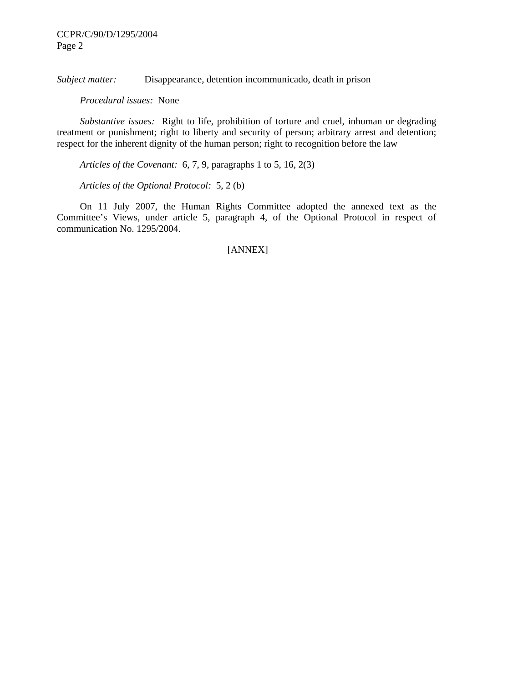*Subject matter:* Disappearance, detention incommunicado, death in prison

 *Procedural issues:* None

 *Substantive issues:* Right to life, prohibition of torture and cruel, inhuman or degrading treatment or punishment; right to liberty and security of person; arbitrary arrest and detention; respect for the inherent dignity of the human person; right to recognition before the law

 *Articles of the Covenant:* 6, 7, 9, paragraphs 1 to 5, 16, 2(3)

 *Articles of the Optional Protocol:* 5, 2 (b)

 On 11 July 2007, the Human Rights Committee adopted the annexed text as the Committee's Views, under article 5, paragraph 4, of the Optional Protocol in respect of communication No. 1295/2004.

#### [ANNEX]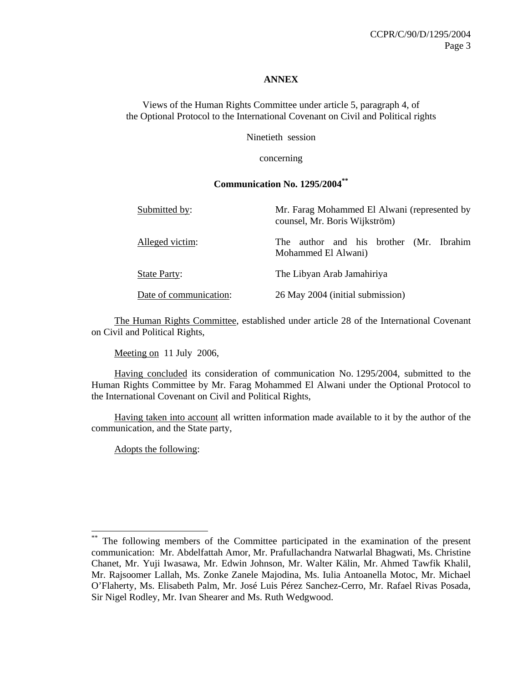#### **ANNEX**

Views of the Human Rights Committee under article 5, paragraph 4, of the Optional Protocol to the International Covenant on Civil and Political rights

Ninetieth session

concerning

#### **Communication No. 1295/2004\*\***

| Submitted by:          | Mr. Farag Mohammed El Alwani (represented by<br>counsel, Mr. Boris Wijkström) |
|------------------------|-------------------------------------------------------------------------------|
| Alleged victim:        | author and his brother (Mr. Ibrahim<br>The<br>Mohammed El Alwani)             |
| <b>State Party:</b>    | The Libyan Arab Jamahiriya                                                    |
| Date of communication: | 26 May 2004 (initial submission)                                              |

 The Human Rights Committee, established under article 28 of the International Covenant on Civil and Political Rights,

Meeting on 11 July 2006,

 Having concluded its consideration of communication No. 1295/2004, submitted to the Human Rights Committee by Mr. Farag Mohammed El Alwani under the Optional Protocol to the International Covenant on Civil and Political Rights,

 Having taken into account all written information made available to it by the author of the communication, and the State party,

Adopts the following:

 $\overline{a}$ 

<sup>\*\*</sup> The following members of the Committee participated in the examination of the present communication: Mr. Abdelfattah Amor, Mr. Prafullachandra Natwarlal Bhagwati, Ms. Christine Chanet, Mr. Yuji Iwasawa, Mr. Edwin Johnson, Mr. Walter Kälin, Mr. Ahmed Tawfik Khalil, Mr. Rajsoomer Lallah, Ms. Zonke Zanele Majodina, Ms. Iulia Antoanella Motoc, Mr. Michael O'Flaherty, Ms. Elisabeth Palm, Mr. José Luis Pérez Sanchez-Cerro, Mr. Rafael Rivas Posada, Sir Nigel Rodley, Mr. Ivan Shearer and Ms. Ruth Wedgwood.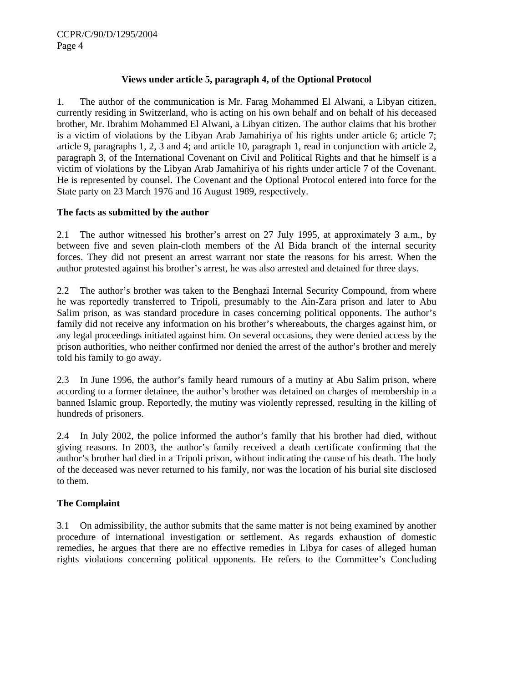## **Views under article 5, paragraph 4, of the Optional Protocol**

1. The author of the communication is Mr. Farag Mohammed El Alwani, a Libyan citizen, currently residing in Switzerland, who is acting on his own behalf and on behalf of his deceased brother, Mr. Ibrahim Mohammed El Alwani, a Libyan citizen. The author claims that his brother is a victim of violations by the Libyan Arab Jamahiriya of his rights under article 6; article 7; article 9, paragraphs 1, 2, 3 and 4; and article 10, paragraph 1, read in conjunction with article 2, paragraph 3, of the International Covenant on Civil and Political Rights and that he himself is a victim of violations by the Libyan Arab Jamahiriya of his rights under article 7 of the Covenant. He is represented by counsel. The Covenant and the Optional Protocol entered into force for the State party on 23 March 1976 and 16 August 1989, respectively.

### **The facts as submitted by the author**

2.1 The author witnessed his brother's arrest on 27 July 1995, at approximately 3 a.m., by between five and seven plain-cloth members of the Al Bida branch of the internal security forces. They did not present an arrest warrant nor state the reasons for his arrest. When the author protested against his brother's arrest, he was also arrested and detained for three days.

2.2 The author's brother was taken to the Benghazi Internal Security Compound, from where he was reportedly transferred to Tripoli, presumably to the Ain-Zara prison and later to Abu Salim prison, as was standard procedure in cases concerning political opponents. The author's family did not receive any information on his brother's whereabouts, the charges against him, or any legal proceedings initiated against him. On several occasions, they were denied access by the prison authorities, who neither confirmed nor denied the arrest of the author's brother and merely told his family to go away.

2.3 In June 1996, the author's family heard rumours of a mutiny at Abu Salim prison, where according to a former detainee, the author's brother was detained on charges of membership in a banned Islamic group. Reportedly, the mutiny was violently repressed, resulting in the killing of hundreds of prisoners.

2.4 In July 2002, the police informed the author's family that his brother had died, without giving reasons. In 2003, the author's family received a death certificate confirming that the author's brother had died in a Tripoli prison, without indicating the cause of his death. The body of the deceased was never returned to his family, nor was the location of his burial site disclosed to them.

# **The Complaint**

3.1 On admissibility, the author submits that the same matter is not being examined by another procedure of international investigation or settlement. As regards exhaustion of domestic remedies, he argues that there are no effective remedies in Libya for cases of alleged human rights violations concerning political opponents. He refers to the Committee's Concluding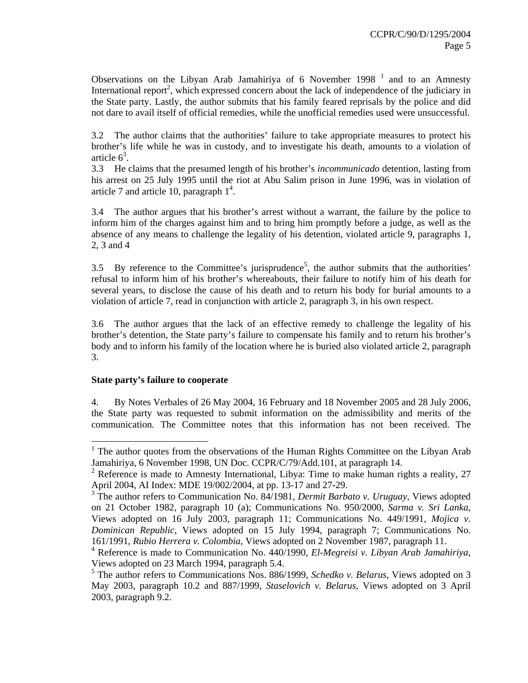Observations on the Libyan Arab Jamahiriya of 6 November 1998<sup>1</sup> and to an Amnesty International report<sup>2</sup>, which expressed concern about the lack of independence of the judiciary in the State party. Lastly, the author submits that his family feared reprisals by the police and did not dare to avail itself of official remedies, while the unofficial remedies used were unsuccessful.

3.2 The author claims that the authorities' failure to take appropriate measures to protect his brother's life while he was in custody, and to investigate his death, amounts to a violation of article  $6^3$ .

3.3 He claims that the presumed length of his brother's *incommunicado* detention, lasting from his arrest on 25 July 1995 until the riot at Abu Salim prison in June 1996, was in violation of article 7 and article 10, paragraph  $1^4$ .

3.4 The author argues that his brother's arrest without a warrant, the failure by the police to inform him of the charges against him and to bring him promptly before a judge, as well as the absence of any means to challenge the legality of his detention, violated article 9, paragraphs 1, 2, 3 and 4

3.5 By reference to the Committee's jurisprudence<sup>5</sup>, the author submits that the authorities' refusal to inform him of his brother's whereabouts, their failure to notify him of his death for several years, to disclose the cause of his death and to return his body for burial amounts to a violation of article 7, read in conjunction with article 2, paragraph 3, in his own respect.

3.6 The author argues that the lack of an effective remedy to challenge the legality of his brother's detention, the State party's failure to compensate his family and to return his brother's body and to inform his family of the location where he is buried also violated article 2, paragraph 3.

#### **State party's failure to cooperate**

4. By Notes Verbales of 26 May 2004, 16 February and 18 November 2005 and 28 July 2006, the State party was requested to submit information on the admissibility and merits of the communication. The Committee notes that this information has not been received. The

<sup>&</sup>lt;sup>1</sup> The author quotes from the observations of the Human Rights Committee on the Libyan Arab Jamahiriya, 6 November 1998, UN Doc. CCPR/C/79/Add.101, at paragraph 14.

<sup>&</sup>lt;sup>2</sup> Reference is made to Amnesty International, Libya: Time to make human rights a reality, 27 April 2004, AI Index: MDE 19/002/2004, at pp. 13-17 and 27-29.

<sup>&</sup>lt;sup>3</sup> The author refers to Communication No. 84/1981, *Dermit Barbato v. Uruguay*, Views adopted on 21 October 1982, paragraph 10 (a); Communications No. 950/2000, *Sarma v. Sri Lanka*, Views adopted on 16 July 2003, paragraph 11; Communications No. 449/1991, *Mojica v. Dominican Republic*, Views adopted on 15 July 1994, paragraph 7; Communications No. 161/1991, *Rubio Herrera v. Colombia*, Views adopted on 2 November 1987, paragraph 11.

<sup>4</sup> Reference is made to Communication No. 440/1990, *El-Megreisi v. Libyan Arab Jamahiriya*, Views adopted on 23 March 1994, paragraph 5.4.

<sup>5</sup> The author refers to Communications Nos. 886/1999, *Schedko v. Belarus*, Views adopted on 3 May 2003, paragraph 10.2 and 887/1999, *Staselovich v. Belarus*, Views adopted on 3 April 2003, paragraph 9.2.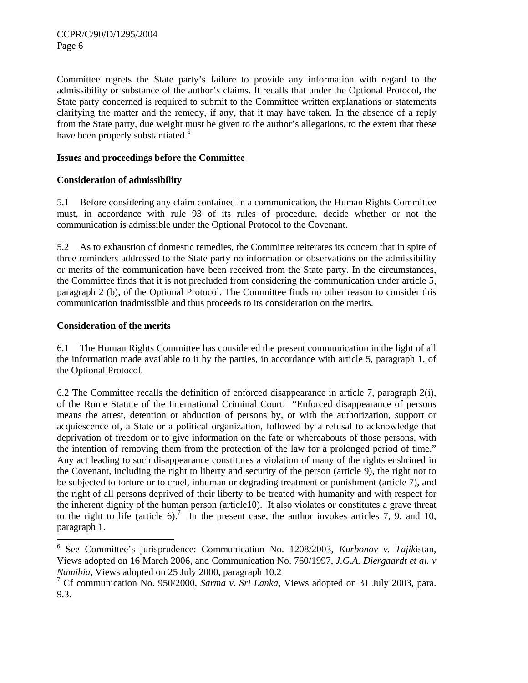Committee regrets the State party's failure to provide any information with regard to the admissibility or substance of the author's claims. It recalls that under the Optional Protocol, the State party concerned is required to submit to the Committee written explanations or statements clarifying the matter and the remedy, if any, that it may have taken. In the absence of a reply from the State party, due weight must be given to the author's allegations, to the extent that these have been properly substantiated.<sup>6</sup>

## **Issues and proceedings before the Committee**

# **Consideration of admissibility**

5.1 Before considering any claim contained in a communication, the Human Rights Committee must, in accordance with rule 93 of its rules of procedure, decide whether or not the communication is admissible under the Optional Protocol to the Covenant.

5.2 As to exhaustion of domestic remedies, the Committee reiterates its concern that in spite of three reminders addressed to the State party no information or observations on the admissibility or merits of the communication have been received from the State party. In the circumstances, the Committee finds that it is not precluded from considering the communication under article 5, paragraph 2 (b), of the Optional Protocol. The Committee finds no other reason to consider this communication inadmissible and thus proceeds to its consideration on the merits.

### **Consideration of the merits**

6.1 The Human Rights Committee has considered the present communication in the light of all the information made available to it by the parties, in accordance with article 5, paragraph 1, of the Optional Protocol.

6.2 The Committee recalls the definition of enforced disappearance in article 7, paragraph 2(i), of the Rome Statute of the International Criminal Court: "Enforced disappearance of persons means the arrest, detention or abduction of persons by, or with the authorization, support or acquiescence of, a State or a political organization, followed by a refusal to acknowledge that deprivation of freedom or to give information on the fate or whereabouts of those persons, with the intention of removing them from the protection of the law for a prolonged period of time." Any act leading to such disappearance constitutes a violation of many of the rights enshrined in the Covenant, including the right to liberty and security of the person (article 9), the right not to be subjected to torture or to cruel, inhuman or degrading treatment or punishment (article 7), and the right of all persons deprived of their liberty to be treated with humanity and with respect for the inherent dignity of the human person (article10). It also violates or constitutes a grave threat to the right to life (article 6).<sup>7</sup> In the present case, the author invokes articles 7, 9, and 10, paragraph 1.

 6 See Committee's jurisprudence: Communication No. 1208/2003, *Kurbonov v. Tajik*istan, Views adopted on 16 March 2006, and Communication No. 760/1997, *J.G.A. Diergaardt et al. v Namibia,* Views adopted on 25 July 2000, paragraph 10.2

<sup>7</sup> Cf communication No. 950/2000, *Sarma v. Sri Lanka*, Views adopted on 31 July 2003, para. 9.3.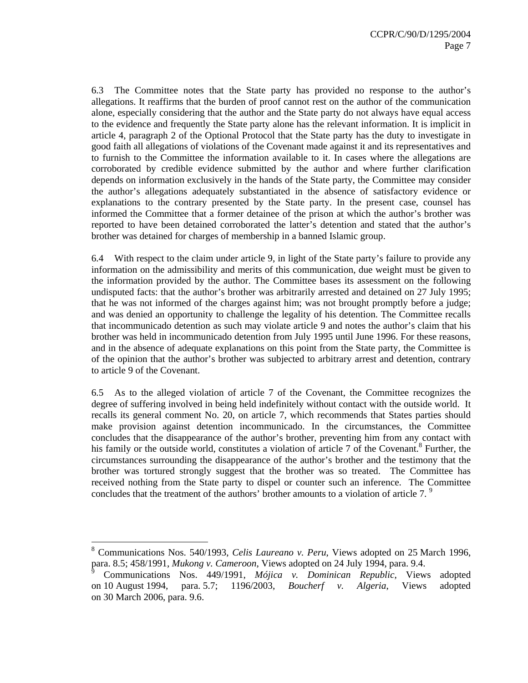6.3 The Committee notes that the State party has provided no response to the author's allegations. It reaffirms that the burden of proof cannot rest on the author of the communication alone, especially considering that the author and the State party do not always have equal access to the evidence and frequently the State party alone has the relevant information. It is implicit in article 4, paragraph 2 of the Optional Protocol that the State party has the duty to investigate in good faith all allegations of violations of the Covenant made against it and its representatives and to furnish to the Committee the information available to it. In cases where the allegations are corroborated by credible evidence submitted by the author and where further clarification depends on information exclusively in the hands of the State party, the Committee may consider the author's allegations adequately substantiated in the absence of satisfactory evidence or explanations to the contrary presented by the State party. In the present case, counsel has informed the Committee that a former detainee of the prison at which the author's brother was reported to have been detained corroborated the latter's detention and stated that the author's brother was detained for charges of membership in a banned Islamic group.

6.4 With respect to the claim under article 9, in light of the State party's failure to provide any information on the admissibility and merits of this communication, due weight must be given to the information provided by the author. The Committee bases its assessment on the following undisputed facts: that the author's brother was arbitrarily arrested and detained on 27 July 1995; that he was not informed of the charges against him; was not brought promptly before a judge; and was denied an opportunity to challenge the legality of his detention. The Committee recalls that incommunicado detention as such may violate article 9 and notes the author's claim that his brother was held in incommunicado detention from July 1995 until June 1996. For these reasons, and in the absence of adequate explanations on this point from the State party, the Committee is of the opinion that the author's brother was subjected to arbitrary arrest and detention, contrary to article 9 of the Covenant.

6.5 As to the alleged violation of article 7 of the Covenant, the Committee recognizes the degree of suffering involved in being held indefinitely without contact with the outside world. It recalls its general comment No. 20, on article 7, which recommends that States parties should make provision against detention incommunicado. In the circumstances, the Committee concludes that the disappearance of the author's brother, preventing him from any contact with his family or the outside world, constitutes a violation of article 7 of the Covenant.<sup>8</sup> Further, the circumstances surrounding the disappearance of the author's brother and the testimony that the brother was tortured strongly suggest that the brother was so treated. The Committee has received nothing from the State party to dispel or counter such an inference. The Committee concludes that the treatment of the authors' brother amounts to a violation of article 7.<sup>9</sup>

 $\overline{a}$ 

<sup>8</sup> Communications Nos. 540/1993, *Celis Laureano v. Peru*, Views adopted on 25 March 1996, para. 8.5; 458/1991, *Mukong v. Cameroon*, Views adopted on 24 July 1994, para. 9.4.

<sup>9</sup> Communications Nos. 449/1991, *Mójica v. Dominican Republic*, Views adopted on 10 August 1994, para. 5.7; 1196/2003, *Boucherf v. Algeria*, Views adopted on 30 March 2006, para. 9.6.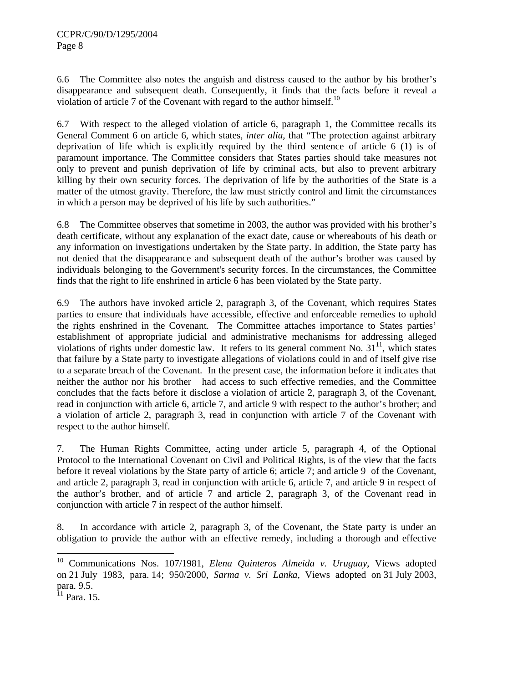6.6 The Committee also notes the anguish and distress caused to the author by his brother's disappearance and subsequent death. Consequently, it finds that the facts before it reveal a violation of article 7 of the Covenant with regard to the author himself.<sup>10</sup>

6.7 With respect to the alleged violation of article 6, paragraph 1, the Committee recalls its General Comment 6 on article 6, which states, *inter alia*, that "The protection against arbitrary deprivation of life which is explicitly required by the third sentence of article 6 (1) is of paramount importance. The Committee considers that States parties should take measures not only to prevent and punish deprivation of life by criminal acts, but also to prevent arbitrary killing by their own security forces. The deprivation of life by the authorities of the State is a matter of the utmost gravity. Therefore, the law must strictly control and limit the circumstances in which a person may be deprived of his life by such authorities."

6.8 The Committee observes that sometime in 2003, the author was provided with his brother's death certificate, without any explanation of the exact date, cause or whereabouts of his death or any information on investigations undertaken by the State party. In addition, the State party has not denied that the disappearance and subsequent death of the author's brother was caused by individuals belonging to the Government's security forces. In the circumstances, the Committee finds that the right to life enshrined in article 6 has been violated by the State party.

6.9 The authors have invoked article 2, paragraph 3, of the Covenant, which requires States parties to ensure that individuals have accessible, effective and enforceable remedies to uphold the rights enshrined in the Covenant. The Committee attaches importance to States parties' establishment of appropriate judicial and administrative mechanisms for addressing alleged violations of rights under domestic law. It refers to its general comment No.  $31<sup>11</sup>$ , which states that failure by a State party to investigate allegations of violations could in and of itself give rise to a separate breach of the Covenant. In the present case, the information before it indicates that neither the author nor his brother had access to such effective remedies, and the Committee concludes that the facts before it disclose a violation of article 2, paragraph 3, of the Covenant, read in conjunction with article 6, article 7, and article 9 with respect to the author's brother; and a violation of article 2, paragraph 3, read in conjunction with article 7 of the Covenant with respect to the author himself.

7. The Human Rights Committee, acting under article 5, paragraph 4, of the Optional Protocol to the International Covenant on Civil and Political Rights, is of the view that the facts before it reveal violations by the State party of article 6; article 7; and article 9 of the Covenant, and article 2, paragraph 3, read in conjunction with article 6, article 7, and article 9 in respect of the author's brother, and of article 7 and article 2, paragraph 3, of the Covenant read in conjunction with article 7 in respect of the author himself.

8. In accordance with article 2, paragraph 3, of the Covenant, the State party is under an obligation to provide the author with an effective remedy, including a thorough and effective

l

<sup>10</sup> Communications Nos. 107/1981, *Elena Quinteros Almeida v. Uruguay*, Views adopted on 21 July 1983, para. 14; 950/2000, *Sarma v. Sri Lanka*, Views adopted on 31 July 2003, para. 9.5.

 $11$  Para. 15.